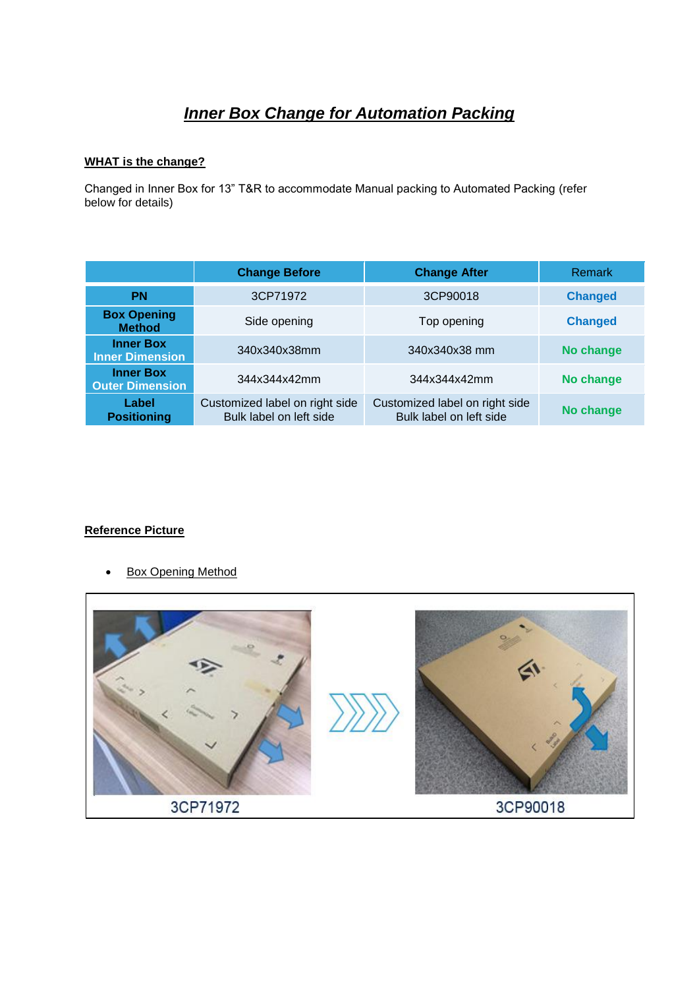# *Inner Box Change for Automation Packing*

### **WHAT is the change?**

Changed in Inner Box for 13" T&R to accommodate Manual packing to Automated Packing (refer below for details)

|                                            | <b>Change Before</b>                                      | <b>Change After</b>                                       | <b>Remark</b>  |  |
|--------------------------------------------|-----------------------------------------------------------|-----------------------------------------------------------|----------------|--|
| <b>PN</b>                                  | 3CP71972                                                  | 3CP90018                                                  | <b>Changed</b> |  |
| <b>Box Opening</b><br><b>Method</b>        | Side opening                                              | Top opening                                               | <b>Changed</b> |  |
| <b>Inner Box</b><br><b>Inner Dimension</b> | 340x340x38mm                                              | 340x340x38 mm                                             | No change      |  |
| <b>Inner Box</b><br><b>Outer Dimension</b> | 344x344x42mm                                              | 344x344x42mm                                              | No change      |  |
| Label<br><b>Positioning</b>                | Customized label on right side<br>Bulk label on left side | Customized label on right side<br>Bulk label on left side | No change      |  |

# **Reference Picture**

• Box Opening Method

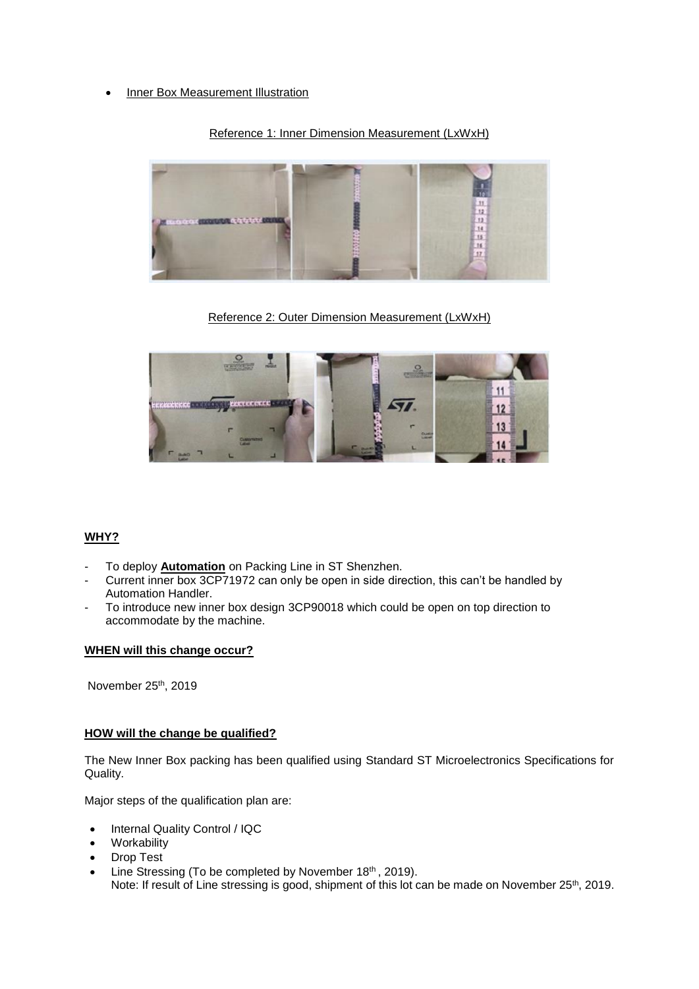• Inner Box Measurement Illustration

# Reference 1: Inner Dimension Measurement (LxWxH)



Reference 2: Outer Dimension Measurement (LxWxH)



# **WHY?**

- To deploy Automation on Packing Line in ST Shenzhen.
- Current inner box 3CP71972 can only be open in side direction, this can't be handled by Automation Handler.
- To introduce new inner box design 3CP90018 which could be open on top direction to accommodate by the machine.

#### **WHEN will this change occur?**

November 25 th, 2019

#### **HOW will the change be qualified?**

The New Inner Box packing has been qualified using Standard ST Microelectronics Specifications for Quality.

Major steps of the qualification plan are:

- Internal Quality Control / IQC
- **Workability**
- Drop Test
- Line Stressing (To be completed by November 18th, 2019). Note: If result of Line stressing is good, shipment of this lot can be made on November 25<sup>th</sup>, 2019.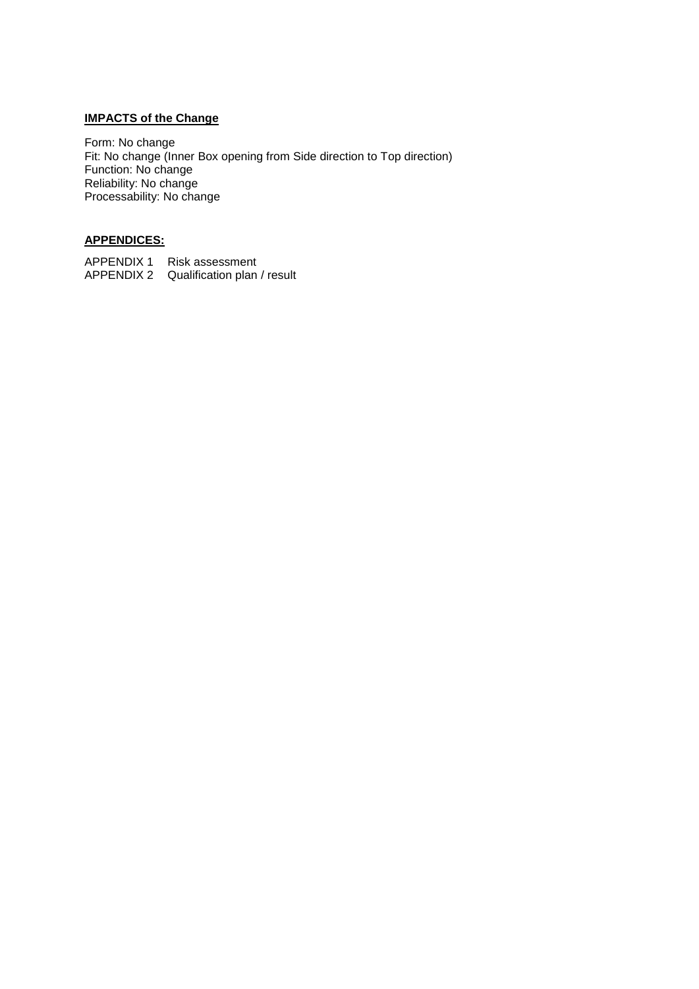# **IMPACTS of the Change**

Form: No change Fit: No change (Inner Box opening from Side direction to Top direction) Function: No change Reliability: No change Processability: No change

# **APPENDICES:**

APPENDIX 1 Risk assessment APPENDIX 2 Qualification plan / result